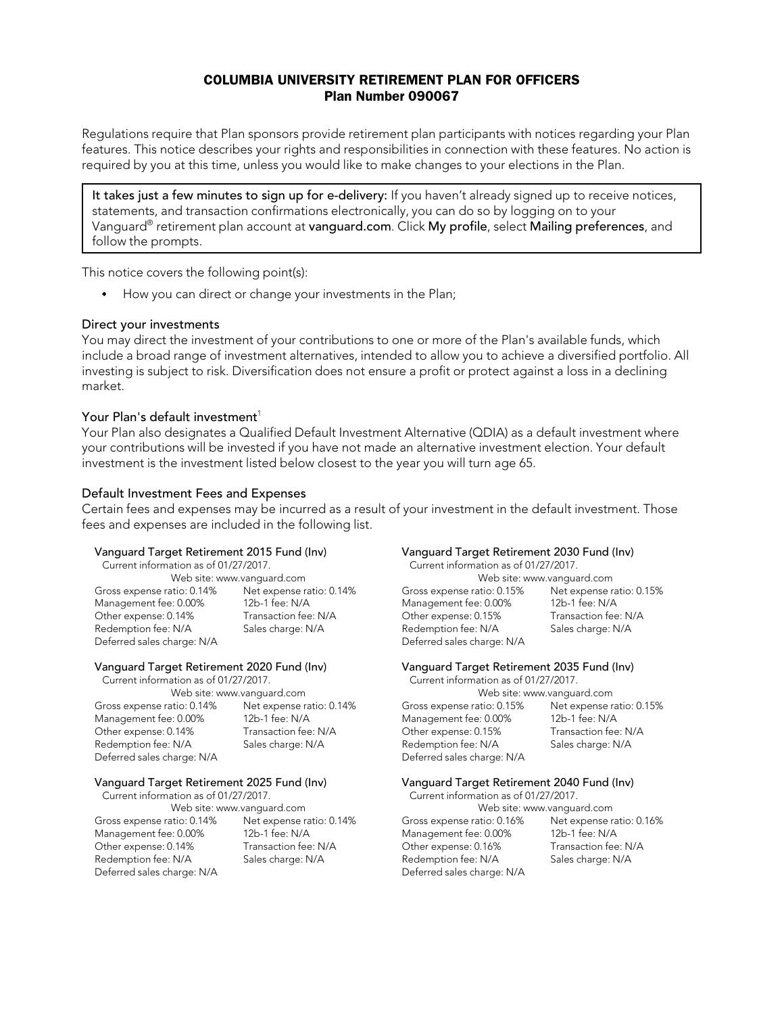## COLUMBIA UNIVERSITY RETIREMENT PLAN FOR OFFICERS Plan Number 090067

Regulations require that Plan sponsors provide retirement plan participants with notices regarding your Plan features. This notice describes your rights and responsibilities in connection with these features. No action is required by you at this time, unless you would like to make changes to your elections in the Plan.

It takes just a few minutes to sign up for e-delivery: If you haven't already signed up to receive notices, statements, and transaction confirmations electronically, you can do so by logging on to your Vanguard® retirement plan account at vanguard.com. Click My profile, select Mailing preferences, and follow the prompts.

This notice covers the following point(s):

How you can direct or change your investments in the Plan;

### Direct your investments

You may direct the investment of your contributions to one or more of the Plan's available funds, which include a broad range of investment alternatives, intended to allow you to achieve a diversified portfolio. All investing is subject to risk. Diversification does not ensure a profit or protect against a loss in a declining market.

## Your Plan's default investment<sup>1</sup>

Your Plan also designates a Qualified Default Investment Alternative (QDIA) as a default investment where your contributions will be invested if you have not made an alternative investment election. Your default investment is the investment listed below closest to the year you will turn age 65.

### Default Investment Fees and Expenses

Certain fees and expenses may be incurred as a result of your investment in the default investment. Those fees and expenses are included in the following list.

# Vanguard Target Retirement 2015 Fund (Inv)<br>Current information as of 01/27/2017. Current information as of 01/27/2017.

Gross expense ratio: 0.14% Net expense ratio: 0.14% Gross expense ratio: 0.15% Net expense ratio: 0.15% Management fee: 0.00% 12b-1 fee: N/A Management fee: 0.00% 12b-1 fee: N/A Other expense: 0.14% Transaction fee: N/A Other expense: 0.15% Transaction fee: N/A Redemption fee: N/A Sales charge: N/A Redemption fee: N/A Sales charge: N/A Deferred sales charge: N/A Deferred sales charge: N/A

# Vanguard Target Retirement 2025 Fund (Inv)<br>Current information as of 01/27/2017. Current information as of 01/27/2017.

Current information as of 01/27/2017.

Other expense: 0.14% Transaction fee: N/A Other expense: 0.16% Redemption fee: N/A Sales charge: N/A Redemption fee: N/A Sales charge: N/A Deferred sales charge: N/A Deferred sales charge: N/A

Current information as of 01/27/2017. Current information as of 01/27/2017. Web site: www.vanguard.com Web site: www.vanguard.com

### Vanguard Target Retirement 2020 Fund (Inv) Vanguard Target Retirement 2035 Fund (Inv)

Current information as of 01/27/2017. Current information as of 01/27/2017. Web site: www.vanguard.com Web site: www.vanguard.com Gross expense ratio: 0.14% Net expense ratio: 0.14% Gross expense ratio: 0.15% Net expense ratio: 0.15% Management fee: 0.00% 12b-1 fee: N/A Management fee: 0.00% 12b-1 fee: N/A<br>Other expense: 0.14% Transaction fee: N/A Other expense: 0.15% Transaction fee: N/A Other expense: 0.15% Redemption fee: N/A Sales charge: N/A Redemption fee: N/A Sales charge: N/A Deferred sales charge: N/A Deferred sales charge: N/A

Web site: www.vanguard.com Web site: www.vanguard.com Gross expense ratio: 0.14% Net expense ratio: 0.14% Gross expense ratio: 0.16% Net expense ratio: 0.16% Management fee: 0.00% 12b-1 fee: N/A Management fee: 0.00% 12b-1 fee: N/A<br>Other expense: 0.14% Transaction fee: N/A Other expense: 0.16% Transaction fee: N/A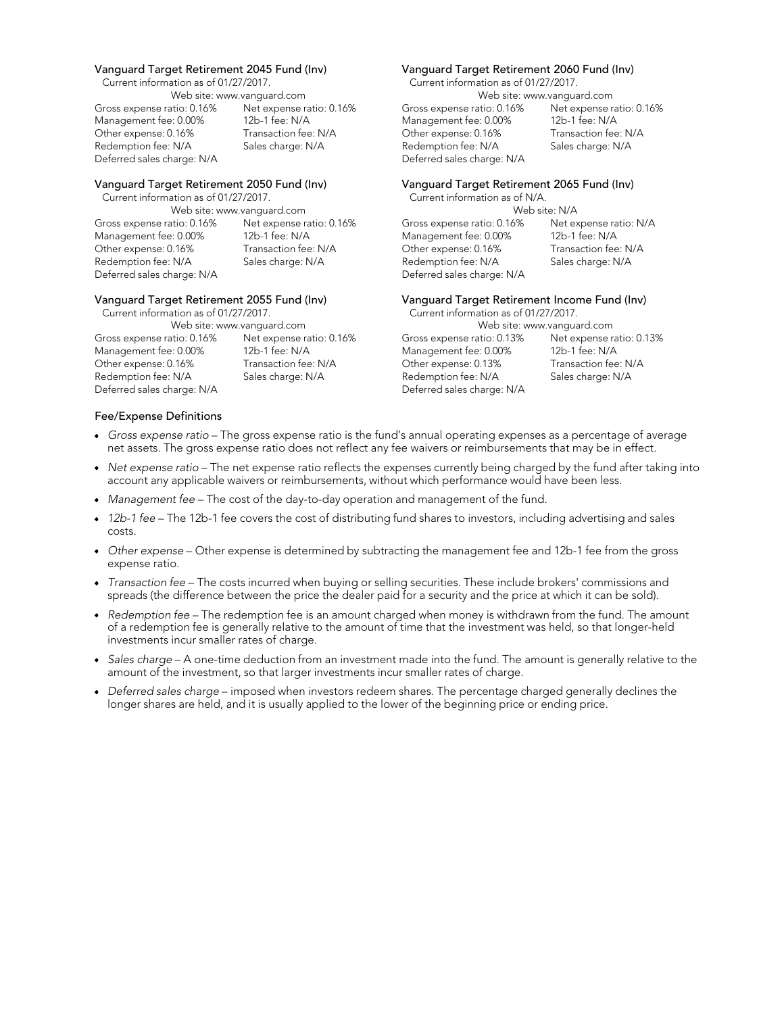Current information as of 01/27/2017. Current information as of 01/27/2017.

| Web site: www.vanquard.com |                          |
|----------------------------|--------------------------|
| Gross expense ratio: 0.16% | Net expense ratio: 0.16% |
| Management fee: 0.00%      | 12b-1 fee: N/A           |
| Other expense: 0.16%       | Transaction fee: N/A     |
| Redemption fee: N/A        | Sales charge: N/A        |
| Deferred sales charge: N/A |                          |

Current information as of 01/27/2017.

Gross expense ratio: 0.16% Net expense ratio: 0.16% Gross expense ratio: 0.16% Net expense ratio: N/A<br>Management fee: 0.00% 12b-1 fee: N/A Management fee: 0.00% 12b-1 fee: N/A Management fee: 0.00% 12b-1 fee: N/A Management fee: 0.00% 12b-1 fee: N/A<br>Other expense: 0.16% Transaction fee: N/A Other expense: 0.16% Transaction fee: N/A Other expense: 0.16% Transaction fee: N/A Other expense: 0.16% Transaction fee: N/A Redemption fee: N/A Sales charge: N/A Redemption fee: N/A Sales charge: N/A<br>Deferred sales charge: N/A Deferred sales charge: N/A

| Web site: www.vanquard.com |                          |  |  |  |  |
|----------------------------|--------------------------|--|--|--|--|
| Gross expense ratio: 0.16% | Net expense ratio: 0.16% |  |  |  |  |
| Management fee: 0.00%      | 12b-1 fee: N/A           |  |  |  |  |
| Other expense: 0.16%       | Transaction fee: N/A     |  |  |  |  |
| Redemption fee: N/A        | Sales charge: N/A        |  |  |  |  |
| Deferred sales charge: N/A |                          |  |  |  |  |

## Vanguard Target Retirement 2045 Fund (Inv) Vanguard Target Retirement 2060 Fund (Inv)

Web site: www.vanguard.com Gross expense ratio: 0.16% Net expense ratio: 0.16% Management fee: 0.00% 12b-1 fee: N/A Other expense: 0.16% Transaction fee: N/A Redemption fee: N/A Sales charge: N/A Deferred sales charge: N/A

# Vanguard Target Retirement 2050 Fund (Inv) Vanguard Target Retirement 2065 Fund (Inv)<br>Current information as of 01/27/2017. Current information as of N/A.

Web site: www.vanguard.com Web site: N/A Deferred sales charge: N/A

# Vanguard Target Retirement 2055 Fund (Inv)<br>Current information as of 01/27/2017. Current information as of 01/27/2017.

Current information as of 01/27/2017. Current information as of 01/27/2017. Web site: www.vanguard.com Gross expense ratio: 0.13% Net expense ratio: 0.13% Management fee: 0.00% 12b-1 fee: N/A Other expense: 0.13% Transaction fee: N/A Redemption fee: N/A Sales charge: N/A Deferred sales charge: N/A

### Fee/Expense Definitions

- *Gross expense ratio*  The gross expense ratio is the fund's annual operating expenses as a percentage of average net assets. The gross expense ratio does not reflect any fee waivers or reimbursements that may be in effect.
- *Net expense ratio*  The net expense ratio reflects the expenses currently being charged by the fund after taking into account any applicable waivers or reimbursements, without which performance would have been less.
- Management fee The cost of the day-to-day operation and management of the fund.
- 12b-1 fee The 12b-1 fee covers the cost of distributing fund shares to investors, including advertising and sales costs.
- Other expense Other expense is determined by subtracting the management fee and 12b-1 fee from the gross expense ratio.
- *Transaction fee*  The costs incurred when buying or selling securities. These include brokers' commissions and spreads (the difference between the price the dealer paid for a security and the price at which it can be sold).
- *Redemption fee*  The redemption fee is an amount charged when money is withdrawn from the fund. The amount of a redemption fee is generally relative to the amount of time that the investment was held, so that longer-held investments incur smaller rates of charge.
- Sales charge A one-time deduction from an investment made into the fund. The amount is generally relative to the amount of the investment, so that larger investments incur smaller rates of charge.
- *Deferred sales charge*  imposed when investors redeem shares. The percentage charged generally declines the longer shares are held, and it is usually applied to the lower of the beginning price or ending price.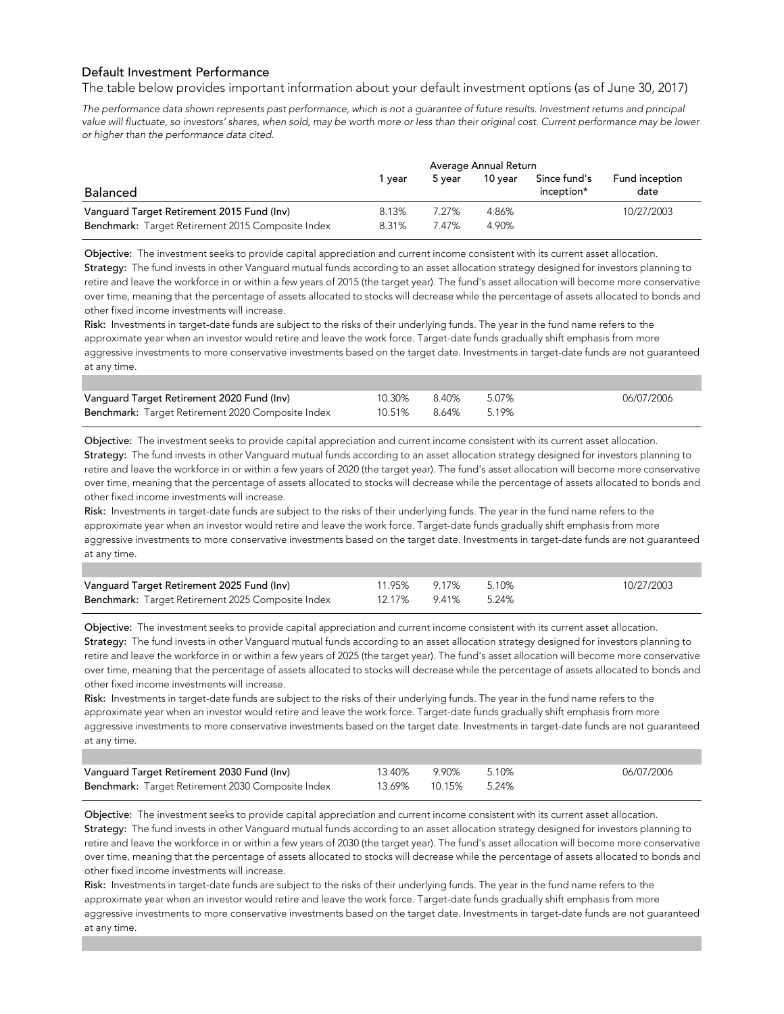## Default Investment Performance

The table below provides important information about your default investment options (as of June 30, 2017)

*The performance data shown represents past performance, which is not a guarantee of future results. Investment returns and principal*  value will fluctuate, so investors' shares, when sold, may be worth more or less than their original cost. Current performance may be lower *or higher than the performance data cited.* 

|                                                                                                 | Average Annual Return |               |                |                            |                        |  |  |
|-------------------------------------------------------------------------------------------------|-----------------------|---------------|----------------|----------------------------|------------------------|--|--|
| <b>Balanced</b>                                                                                 | vear                  | 5 vear        | 10 vear        | Since fund's<br>inception* | Fund inception<br>date |  |  |
| Vanguard Target Retirement 2015 Fund (Inv)<br>Benchmark: Target Retirement 2015 Composite Index | 8.13%<br>8.31%        | 7 27%<br>747% | 4.86%<br>4.90% |                            | 10/27/2003             |  |  |

Objective: The investment seeks to provide capital appreciation and current income consistent with its current asset allocation. Strategy: The fund invests in other Vanguard mutual funds according to an asset allocation strategy designed for investors planning to retire and leave the workforce in or within a few years of 2015 (the target year). The fund's asset allocation will become more conservative over time, meaning that the percentage of assets allocated to stocks will decrease while the percentage of assets allocated to bonds and other fixed income investments will increase.

Risk: Investments in target-date funds are subject to the risks of their underlying funds. The year in the fund name refers to the approximate year when an investor would retire and leave the work force. Target-date funds gradually shift emphasis from more aggressive investments to more conservative investments based on the target date. Investments in target-date funds are not guaranteed at any time.

| Vanguard Target Retirement 2020 Fund (Inv)        | 10.30% 8.40%       | 5.07% | 06/07/2006 |
|---------------------------------------------------|--------------------|-------|------------|
| Benchmark: Target Retirement 2020 Composite Index | 10.51% 8.64% 5.19% |       |            |

Objective: The investment seeks to provide capital appreciation and current income consistent with its current asset allocation. Strategy: The fund invests in other Vanguard mutual funds according to an asset allocation strategy designed for investors planning to retire and leave the workforce in or within a few years of 2020 (the target year). The fund's asset allocation will become more conservative over time, meaning that the percentage of assets allocated to stocks will decrease while the percentage of assets allocated to bonds and other fixed income investments will increase.

Risk: Investments in target-date funds are subject to the risks of their underlying funds. The year in the fund name refers to the approximate year when an investor would retire and leave the work force. Target-date funds gradually shift emphasis from more aggressive investments to more conservative investments based on the target date. Investments in target-date funds are not guaranteed at any time.

| Vanguard Target Retirement 2025 Fund (Inv)        | 11.95% 9.17% 5.10% |  | 10/27/2003 |
|---------------------------------------------------|--------------------|--|------------|
| Benchmark: Target Retirement 2025 Composite Index | 12.17% 9.41% 5.24% |  |            |

Objective: The investment seeks to provide capital appreciation and current income consistent with its current asset allocation. Strategy: The fund invests in other Vanguard mutual funds according to an asset allocation strategy designed for investors planning to retire and leave the workforce in or within a few years of 2025 (the target year). The fund's asset allocation will become more conservative over time, meaning that the percentage of assets allocated to stocks will decrease while the percentage of assets allocated to bonds and other fixed income investments will increase.

Risk: Investments in target-date funds are subject to the risks of their underlying funds. The year in the fund name refers to the approximate year when an investor would retire and leave the work force. Target-date funds gradually shift emphasis from more aggressive investments to more conservative investments based on the target date. Investments in target-date funds are not guaranteed at any time.

| Vanguard Target Retirement 2030 Fund (Inv)        | 13.40% 9.90% 5.10%  | 06/07/2006 |
|---------------------------------------------------|---------------------|------------|
| Benchmark: Target Retirement 2030 Composite Index | 13.69% 10.15% 5.24% |            |

Objective: The investment seeks to provide capital appreciation and current income consistent with its current asset allocation. Strategy: The fund invests in other Vanguard mutual funds according to an asset allocation strategy designed for investors planning to retire and leave the workforce in or within a few years of 2030 (the target year). The fund's asset allocation will become more conservative over time, meaning that the percentage of assets allocated to stocks will decrease while the percentage of assets allocated to bonds and other fixed income investments will increase.

Risk: Investments in target-date funds are subject to the risks of their underlying funds. The year in the fund name refers to the approximate year when an investor would retire and leave the work force. Target-date funds gradually shift emphasis from more aggressive investments to more conservative investments based on the target date. Investments in target-date funds are not guaranteed at any time.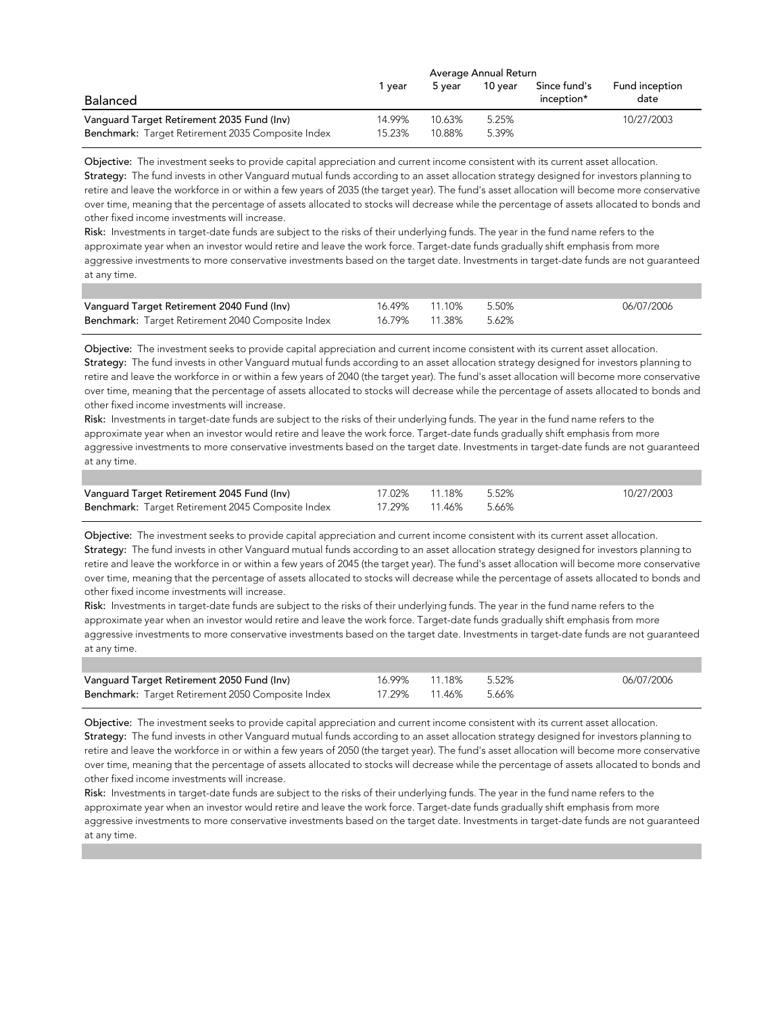|                                                   | Average Annual Return |        |         |              |                |  |
|---------------------------------------------------|-----------------------|--------|---------|--------------|----------------|--|
|                                                   | vear                  | 5 vear | 10 vear | Since fund's | Fund inception |  |
| <b>Balanced</b>                                   |                       |        |         | inception*   | date           |  |
| Vanguard Target Retirement 2035 Fund (Inv)        | 14.99%                | 10.63% | 5.25%   |              | 10/27/2003     |  |
| Benchmark: Target Retirement 2035 Composite Index | 15.23%                | 10.88% | 5.39%   |              |                |  |

Objective: The investment seeks to provide capital appreciation and current income consistent with its current asset allocation. Strategy: The fund invests in other Vanguard mutual funds according to an asset allocation strategy designed for investors planning to retire and leave the workforce in or within a few years of 2035 (the target year). The fund's asset allocation will become more conservative over time, meaning that the percentage of assets allocated to stocks will decrease while the percentage of assets allocated to bonds and other fixed income investments will increase.

Risk: Investments in target-date funds are subject to the risks of their underlying funds. The year in the fund name refers to the approximate year when an investor would retire and leave the work force. Target-date funds gradually shift emphasis from more aggressive investments to more conservative investments based on the target date. Investments in target-date funds are not guaranteed at any time.

| Vanguard Target Retirement 2040 Fund (Inv)        | 16.49% 11.10% 5.50% | 06/07/2006 |
|---------------------------------------------------|---------------------|------------|
| Benchmark: Target Retirement 2040 Composite Index | 16.79% 11.38% 5.62% |            |

Objective: The investment seeks to provide capital appreciation and current income consistent with its current asset allocation. Strategy: The fund invests in other Vanguard mutual funds according to an asset allocation strategy designed for investors planning to retire and leave the workforce in or within a few years of 2040 (the target year). The fund's asset allocation will become more conservative over time, meaning that the percentage of assets allocated to stocks will decrease while the percentage of assets allocated to bonds and other fixed income investments will increase.

Risk: Investments in target-date funds are subject to the risks of their underlying funds. The year in the fund name refers to the approximate year when an investor would retire and leave the work force. Target-date funds gradually shift emphasis from more aggressive investments to more conservative investments based on the target date. Investments in target-date funds are not guaranteed at any time.

| Vanguard Target Retirement 2045 Fund (Inv)        | 17.02% 11.18% 5.52% | 10/27/2003 |
|---------------------------------------------------|---------------------|------------|
| Benchmark: Target Retirement 2045 Composite Index | 17.29% 11.46% 5.66% |            |

Objective: The investment seeks to provide capital appreciation and current income consistent with its current asset allocation. Strategy: The fund invests in other Vanguard mutual funds according to an asset allocation strategy designed for investors planning to retire and leave the workforce in or within a few years of 2045 (the target year). The fund's asset allocation will become more conservative over time, meaning that the percentage of assets allocated to stocks will decrease while the percentage of assets allocated to bonds and other fixed income investments will increase.

Risk: Investments in target-date funds are subject to the risks of their underlying funds. The year in the fund name refers to the approximate year when an investor would retire and leave the work force. Target-date funds gradually shift emphasis from more aggressive investments to more conservative investments based on the target date. Investments in target-date funds are not guaranteed at any time.

| Vanguard Target Retirement 2050 Fund (Inv)        | 16.99% 11.18% 5.52% | 06/07/2006 |
|---------------------------------------------------|---------------------|------------|
| Benchmark: Target Retirement 2050 Composite Index | 17.29% 11.46% 5.66% |            |

Objective: The investment seeks to provide capital appreciation and current income consistent with its current asset allocation. Strategy: The fund invests in other Vanguard mutual funds according to an asset allocation strategy designed for investors planning to retire and leave the workforce in or within a few years of 2050 (the target year). The fund's asset allocation will become more conservative over time, meaning that the percentage of assets allocated to stocks will decrease while the percentage of assets allocated to bonds and other fixed income investments will increase.

Risk: Investments in target-date funds are subject to the risks of their underlying funds. The year in the fund name refers to the approximate year when an investor would retire and leave the work force. Target-date funds gradually shift emphasis from more aggressive investments to more conservative investments based on the target date. Investments in target-date funds are not quaranteed at any time.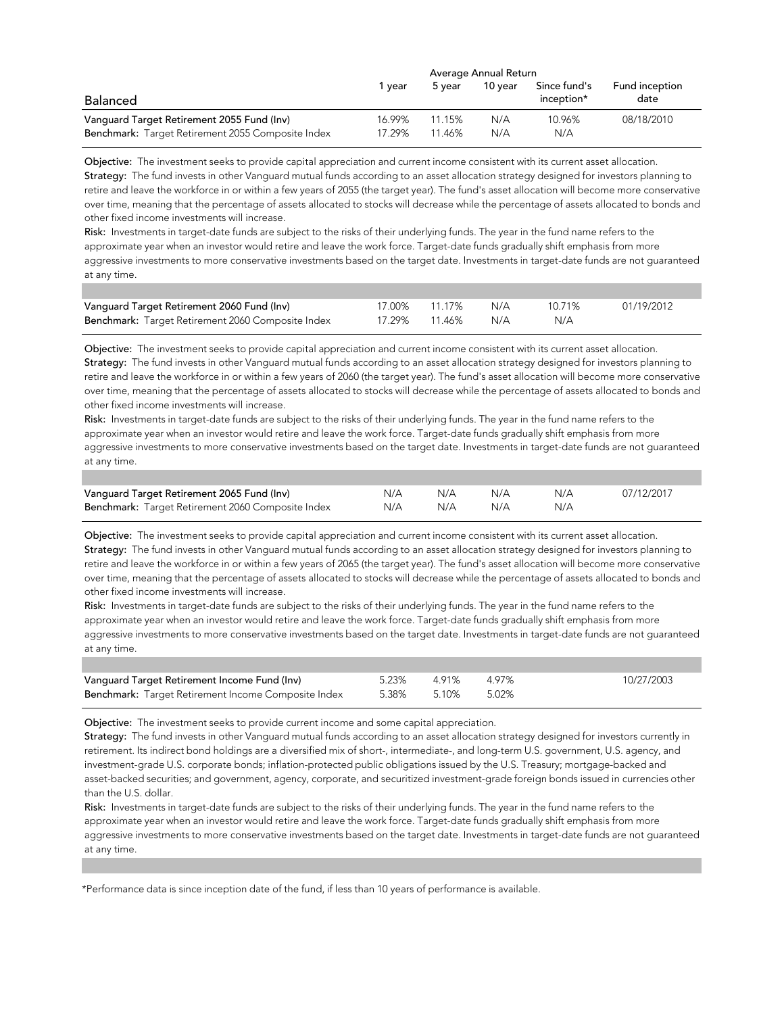|                                                   |        | Average Annual Return |         |                            |                        |
|---------------------------------------------------|--------|-----------------------|---------|----------------------------|------------------------|
| Balanced                                          | vear   | 5 vear                | 10 vear | Since fund's<br>inception* | Fund inception<br>date |
| Vanguard Target Retirement 2055 Fund (Inv)        | 16.99% | 11.15%                | N/A     | 10.96%                     | 08/18/2010             |
| Benchmark: Target Retirement 2055 Composite Index | 17.29% | 11.46%                | N/A     | N/A                        |                        |

Objective: The investment seeks to provide capital appreciation and current income consistent with its current asset allocation. Strategy: The fund invests in other Vanguard mutual funds according to an asset allocation strategy designed for investors planning to retire and leave the workforce in or within a few years of 2055 (the target year). The fund's asset allocation will become more conservative over time, meaning that the percentage of assets allocated to stocks will decrease while the percentage of assets allocated to bonds and other fixed income investments will increase.

Risk: Investments in target-date funds are subject to the risks of their underlying funds. The year in the fund name refers to the approximate year when an investor would retire and leave the work force. Target-date funds gradually shift emphasis from more aggressive investments to more conservative investments based on the target date. Investments in target-date funds are not guaranteed at any time.

| Vanguard Target Retirement 2060 Fund (Inv)        | 17.00% 11.17% N/A | 10.71% | 01/19/2012 |
|---------------------------------------------------|-------------------|--------|------------|
| Benchmark: Target Retirement 2060 Composite Index | 17.29% 11.46% N/A | N/A    |            |

Objective: The investment seeks to provide capital appreciation and current income consistent with its current asset allocation. Strategy: The fund invests in other Vanguard mutual funds according to an asset allocation strategy designed for investors planning to retire and leave the workforce in or within a few years of 2060 (the target year). The fund's asset allocation will become more conservative over time, meaning that the percentage of assets allocated to stocks will decrease while the percentage of assets allocated to bonds and other fixed income investments will increase.

Risk: Investments in target-date funds are subject to the risks of their underlying funds. The year in the fund name refers to the approximate year when an investor would retire and leave the work force. Target-date funds gradually shift emphasis from more aggressive investments to more conservative investments based on the target date. Investments in target-date funds are not guaranteed at any time.

| Vanguard Target Retirement 2065 Fund (Inv)        | N/A | N/A | N/A | N/A | 07/12/2017 |
|---------------------------------------------------|-----|-----|-----|-----|------------|
| Benchmark: Target Retirement 2060 Composite Index | N/A | N/A | N/A | N/A |            |

Objective: The investment seeks to provide capital appreciation and current income consistent with its current asset allocation. Strategy: The fund invests in other Vanguard mutual funds according to an asset allocation strategy designed for investors planning to retire and leave the workforce in or within a few years of 2065 (the target year). The fund's asset allocation will become more conservative over time, meaning that the percentage of assets allocated to stocks will decrease while the percentage of assets allocated to bonds and other fixed income investments will increase.

Risk: Investments in target-date funds are subject to the risks of their underlying funds. The year in the fund name refers to the approximate year when an investor would retire and leave the work force. Target-date funds gradually shift emphasis from more aggressive investments to more conservative investments based on the target date. Investments in target-date funds are not guaranteed at any time.

| Vanguard Target Retirement Income Fund (Inv)        | 5.23% 4.91% | 4.97% | 10/27/2003 |
|-----------------------------------------------------|-------------|-------|------------|
| Benchmark: Target Retirement Income Composite Index | 5.38% 5.10% | 5.02% |            |

Objective: The investment seeks to provide current income and some capital appreciation.

Strategy: The fund invests in other Vanguard mutual funds according to an asset allocation strategy designed for investors currently in retirement. Its indirect bond holdings are a diversified mix of short-, intermediate-, and long-term U.S. government, U.S. agency, and investment-grade U.S. corporate bonds; inflation-protected public obligations issued by the U.S. Treasury; mortgage-backed and asset-backed securities; and government, agency, corporate, and securitized investment-grade foreign bonds issued in currencies other than the U.S. dollar.

Risk: Investments in target-date funds are subject to the risks of their underlying funds. The year in the fund name refers to the approximate year when an investor would retire and leave the work force. Target-date funds gradually shift emphasis from more aggressive investments to more conservative investments based on the target date. Investments in target-date funds are not guaranteed at any time.

\*Performance data is since inception date of the fund, if less than 10 years of performance is available.